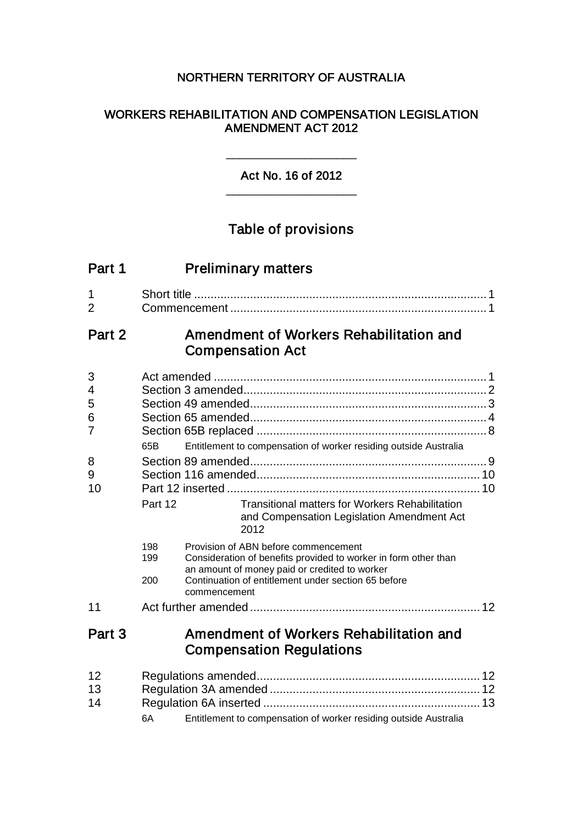## NORTHERN TERRITORY OF AUSTRALIA

## WORKERS REHABILITATION AND COMPENSATION LEGISLATION AMENDMENT ACT 2012

## Act No. 16 of 2012 \_\_\_\_\_\_\_\_\_\_\_\_\_\_\_\_\_\_\_\_

\_\_\_\_\_\_\_\_\_\_\_\_\_\_\_\_\_\_\_\_

# Table of provisions

| Part 1              | <b>Preliminary matters</b>                                                                                                                                             |  |
|---------------------|------------------------------------------------------------------------------------------------------------------------------------------------------------------------|--|
| 1<br>$\overline{2}$ |                                                                                                                                                                        |  |
| Part 2              | Amendment of Workers Rehabilitation and<br><b>Compensation Act</b>                                                                                                     |  |
| 3<br>4              |                                                                                                                                                                        |  |
| 5<br>6<br>7         |                                                                                                                                                                        |  |
| 8<br>9<br>10        | Entitlement to compensation of worker residing outside Australia<br>65B                                                                                                |  |
|                     | Part 12<br><b>Transitional matters for Workers Rehabilitation</b><br>and Compensation Legislation Amendment Act<br>2012                                                |  |
|                     | 198<br>Provision of ABN before commencement<br>Consideration of benefits provided to worker in form other than<br>199<br>an amount of money paid or credited to worker |  |
|                     | Continuation of entitlement under section 65 before<br>200<br>commencement                                                                                             |  |
| 11                  |                                                                                                                                                                        |  |
| Part 3              | Amendment of Workers Rehabilitation and<br><b>Compensation Regulations</b>                                                                                             |  |
| 12<br>13<br>14      | Entitlement to compensation of worker residing outside Australia<br>6A                                                                                                 |  |
|                     |                                                                                                                                                                        |  |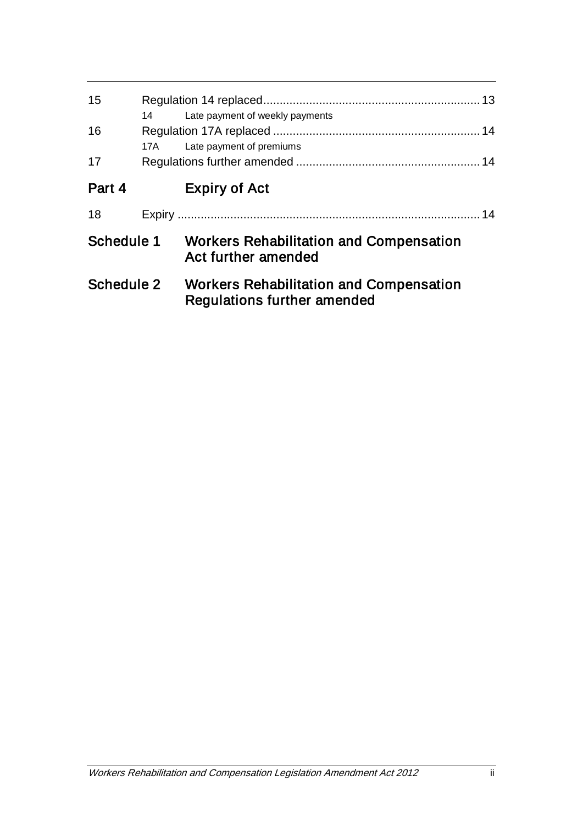| 15         |       |                                                                                      |  |
|------------|-------|--------------------------------------------------------------------------------------|--|
|            | 14    | Late payment of weekly payments                                                      |  |
| 16         | 17A - | Late payment of premiums                                                             |  |
| 17         |       |                                                                                      |  |
| Part 4     |       | <b>Expiry of Act</b>                                                                 |  |
| 18         |       |                                                                                      |  |
| Schedule 1 |       | <b>Workers Rehabilitation and Compensation</b><br>Act further amended                |  |
| Schedule 2 |       | <b>Workers Rehabilitation and Compensation</b><br><b>Regulations further amended</b> |  |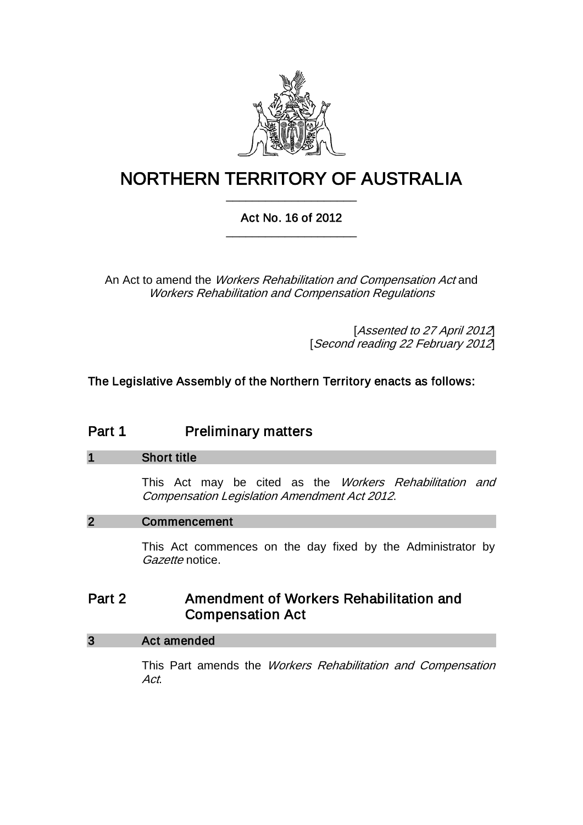

# NORTHERN TERRITORY OF AUSTRALIA \_\_\_\_\_\_\_\_\_\_\_\_\_\_\_\_\_\_\_\_

## Act No. 16 of 2012 \_\_\_\_\_\_\_\_\_\_\_\_\_\_\_\_\_\_\_\_

An Act to amend the Workers Rehabilitation and Compensation Act and Workers Rehabilitation and Compensation Regulations

> [Assented to 27 April 2012] [Second reading 22 February 2012]

The Legislative Assembly of the Northern Territory enacts as follows:

# Part 1 Preliminary matters

#### 1 Short title

This Act may be cited as the Workers Rehabilitation and Compensation Legislation Amendment Act 2012.

## 2 Commencement

This Act commences on the day fixed by the Administrator by Gazette notice.

## Part 2 Amendment of Workers Rehabilitation and Compensation Act

#### 3 Act amended

This Part amends the Workers Rehabilitation and Compensation Act.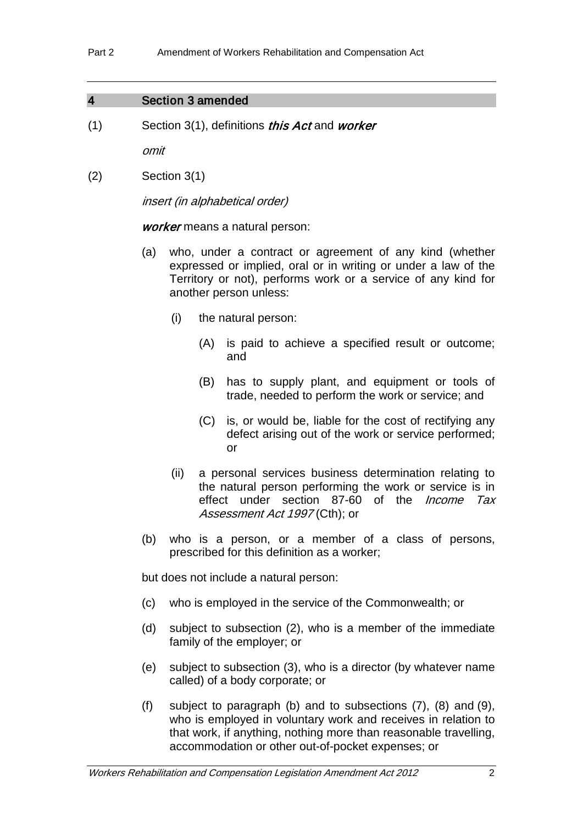#### 4 Section 3 amended

 $(1)$  Section 3(1), definitions *this Act* and *worker* 

omit

(2) Section 3(1)

insert (in alphabetical order)

worker means a natural person:

- (a) who, under a contract or agreement of any kind (whether expressed or implied, oral or in writing or under a law of the Territory or not), performs work or a service of any kind for another person unless:
	- (i) the natural person:
		- (A) is paid to achieve a specified result or outcome; and
		- (B) has to supply plant, and equipment or tools of trade, needed to perform the work or service; and
		- (C) is, or would be, liable for the cost of rectifying any defect arising out of the work or service performed; or
	- (ii) a personal services business determination relating to the natural person performing the work or service is in effect under section 87-60 of the *Income Tax* Assessment Act 1997 (Cth); or
- (b) who is a person, or a member of a class of persons, prescribed for this definition as a worker;

but does not include a natural person:

- (c) who is employed in the service of the Commonwealth; or
- (d) subject to subsection (2), who is a member of the immediate family of the employer; or
- (e) subject to subsection (3), who is a director (by whatever name called) of a body corporate; or
- (f) subject to paragraph (b) and to subsections (7), (8) and (9), who is employed in voluntary work and receives in relation to that work, if anything, nothing more than reasonable travelling, accommodation or other out-of-pocket expenses; or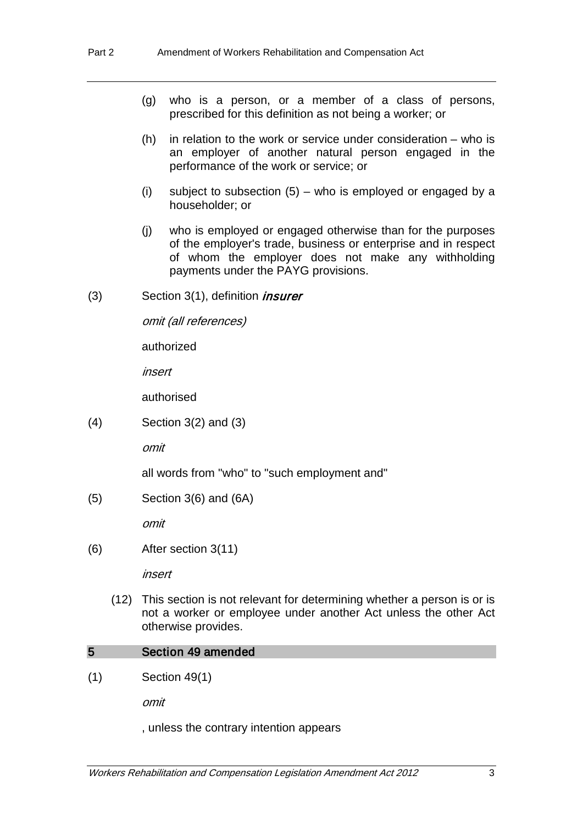- (g) who is a person, or a member of a class of persons, prescribed for this definition as not being a worker; or
- (h) in relation to the work or service under consideration who is an employer of another natural person engaged in the performance of the work or service; or
- (i) subject to subsection  $(5)$  who is employed or engaged by a householder; or
- (j) who is employed or engaged otherwise than for the purposes of the employer's trade, business or enterprise and in respect of whom the employer does not make any withholding payments under the PAYG provisions.
- $(3)$  Section 3(1), definition *insurer*

omit (all references)

authorized

insert

authorised

(4) Section 3(2) and (3)

omit

all words from "who" to "such employment and"

(5) Section 3(6) and (6A)

omit

(6) After section 3(11)

insert

(12) This section is not relevant for determining whether a person is or is not a worker or employee under another Act unless the other Act otherwise provides.

#### 5 Section 49 amended

(1) Section 49(1)

omit

, unless the contrary intention appears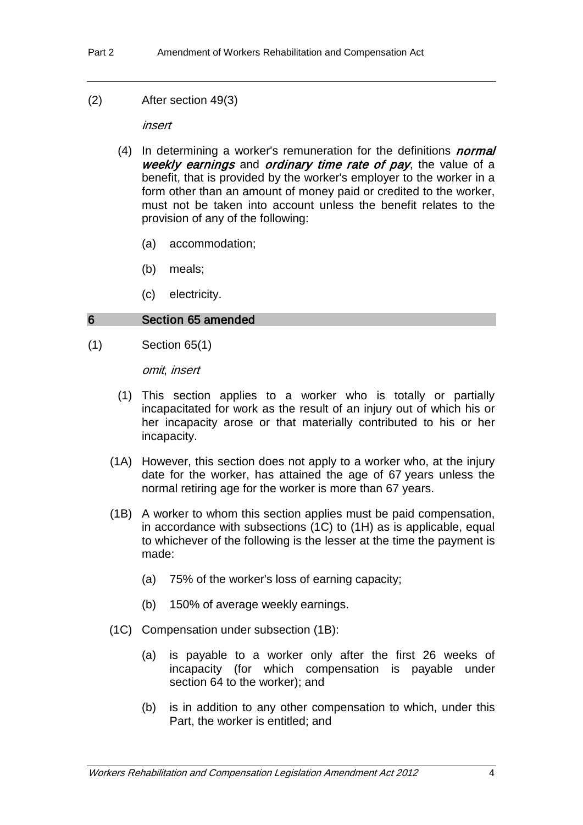(2) After section 49(3)

insert

- (4) In determining a worker's remuneration for the definitions *normal* weekly earnings and ordinary time rate of pay, the value of a benefit, that is provided by the worker's employer to the worker in a form other than an amount of money paid or credited to the worker, must not be taken into account unless the benefit relates to the provision of any of the following:
	- (a) accommodation;
	- (b) meals;
	- (c) electricity.

#### 6 Section 65 amended

(1) Section 65(1)

omit, insert

- (1) This section applies to a worker who is totally or partially incapacitated for work as the result of an injury out of which his or her incapacity arose or that materially contributed to his or her incapacity.
- (1A) However, this section does not apply to a worker who, at the injury date for the worker, has attained the age of 67 years unless the normal retiring age for the worker is more than 67 years.
- (1B) A worker to whom this section applies must be paid compensation, in accordance with subsections (1C) to (1H) as is applicable, equal to whichever of the following is the lesser at the time the payment is made:
	- (a) 75% of the worker's loss of earning capacity;
	- (b) 150% of average weekly earnings.
- (1C) Compensation under subsection (1B):
	- (a) is payable to a worker only after the first 26 weeks of incapacity (for which compensation is payable under section 64 to the worker); and
	- (b) is in addition to any other compensation to which, under this Part, the worker is entitled; and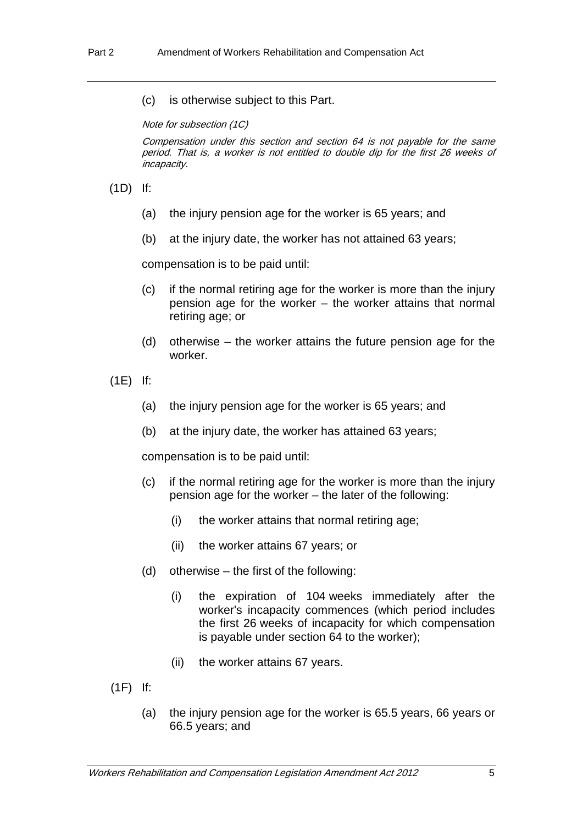(c) is otherwise subject to this Part.

Note for subsection (1C)

Compensation under this section and section 64 is not payable for the same period. That is, a worker is not entitled to double dip for the first 26 weeks of incapacity.

(1D) If:

- (a) the injury pension age for the worker is 65 years; and
- (b) at the injury date, the worker has not attained 63 years;

compensation is to be paid until:

- (c) if the normal retiring age for the worker is more than the injury pension age for the worker – the worker attains that normal retiring age; or
- (d) otherwise the worker attains the future pension age for the worker.

(1E) If:

- (a) the injury pension age for the worker is 65 years; and
- (b) at the injury date, the worker has attained 63 years;

compensation is to be paid until:

- (c) if the normal retiring age for the worker is more than the injury pension age for the worker – the later of the following:
	- (i) the worker attains that normal retiring age;
	- (ii) the worker attains 67 years; or
- (d) otherwise the first of the following:
	- (i) the expiration of 104 weeks immediately after the worker's incapacity commences (which period includes the first 26 weeks of incapacity for which compensation is payable under section 64 to the worker);
	- (ii) the worker attains 67 years.
- (1F) If:
	- (a) the injury pension age for the worker is 65.5 years, 66 years or 66.5 years; and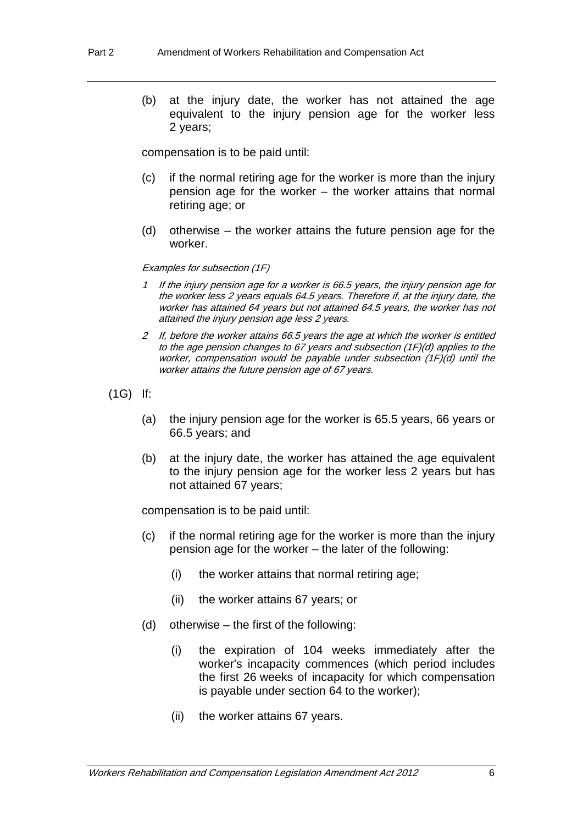(b) at the injury date, the worker has not attained the age equivalent to the injury pension age for the worker less 2 years;

compensation is to be paid until:

- (c) if the normal retiring age for the worker is more than the injury pension age for the worker – the worker attains that normal retiring age; or
- (d) otherwise the worker attains the future pension age for the worker.

#### Examples for subsection (1F)

- 1 If the injury pension age for a worker is 66.5 years, the injury pension age for the worker less 2 years equals 64.5 years. Therefore if, at the injury date, the worker has attained 64 years but not attained 64.5 years, the worker has not attained the injury pension age less 2 years.
- 2 If, before the worker attains 66.5 years the age at which the worker is entitled to the age pension changes to 67 years and subsection (1F)(d) applies to the worker, compensation would be payable under subsection (1F)(d) until the worker attains the future pension age of 67 years.
- (1G) If:
	- (a) the injury pension age for the worker is 65.5 years, 66 years or 66.5 years; and
	- (b) at the injury date, the worker has attained the age equivalent to the injury pension age for the worker less 2 years but has not attained 67 years;

compensation is to be paid until:

- (c) if the normal retiring age for the worker is more than the injury pension age for the worker – the later of the following:
	- (i) the worker attains that normal retiring age;
	- (ii) the worker attains 67 years; or
- (d) otherwise the first of the following:
	- (i) the expiration of 104 weeks immediately after the worker's incapacity commences (which period includes the first 26 weeks of incapacity for which compensation is payable under section 64 to the worker);
	- (ii) the worker attains 67 years.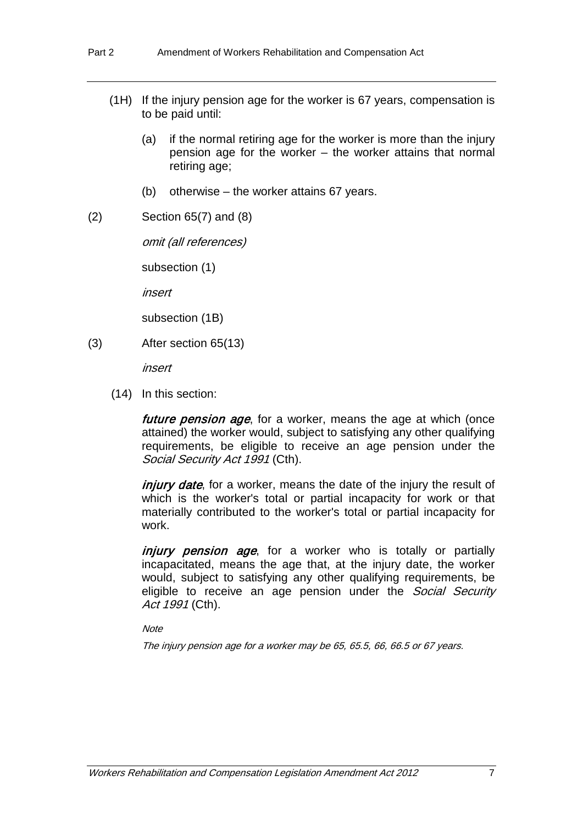- (1H) If the injury pension age for the worker is 67 years, compensation is to be paid until:
	- (a) if the normal retiring age for the worker is more than the injury pension age for the worker – the worker attains that normal retiring age;
	- (b) otherwise the worker attains 67 years.
- (2) Section 65(7) and (8)

omit (all references)

subsection (1)

insert

subsection (1B)

(3) After section 65(13)

insert

(14) In this section:

future pension age, for a worker, means the age at which (once attained) the worker would, subject to satisfying any other qualifying requirements, be eligible to receive an age pension under the Social Security Act 1991 (Cth).

*injury date*, for a worker, means the date of the injury the result of which is the worker's total or partial incapacity for work or that materially contributed to the worker's total or partial incapacity for work.

injury pension age, for a worker who is totally or partially incapacitated, means the age that, at the injury date, the worker would, subject to satisfying any other qualifying requirements, be eligible to receive an age pension under the Social Security Act 1991 (Cth).

**Note** 

The injury pension age for a worker may be 65, 65.5, 66, 66.5 or 67 years.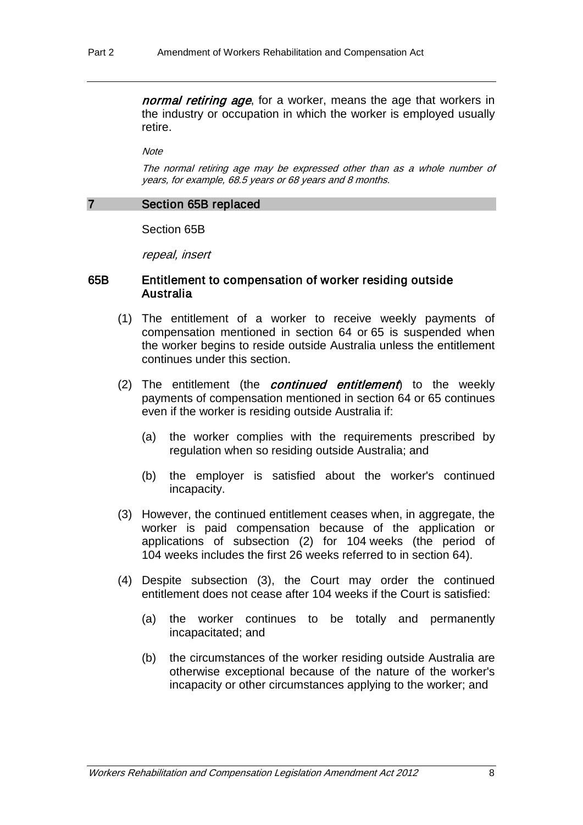normal retiring age, for a worker, means the age that workers in the industry or occupation in which the worker is employed usually retire.

**Note** 

The normal retiring age may be expressed other than as a whole number of years, for example, 68.5 years or 68 years and 8 months.

#### 7 Section 65B replaced

Section 65B

repeal, insert

#### 65B Entitlement to compensation of worker residing outside Australia

- (1) The entitlement of a worker to receive weekly payments of compensation mentioned in section 64 or 65 is suspended when the worker begins to reside outside Australia unless the entitlement continues under this section.
- (2) The entitlement (the *continued entitlement*) to the weekly payments of compensation mentioned in section 64 or 65 continues even if the worker is residing outside Australia if:
	- (a) the worker complies with the requirements prescribed by regulation when so residing outside Australia; and
	- (b) the employer is satisfied about the worker's continued incapacity.
- (3) However, the continued entitlement ceases when, in aggregate, the worker is paid compensation because of the application or applications of subsection (2) for 104 weeks (the period of 104 weeks includes the first 26 weeks referred to in section 64).
- (4) Despite subsection (3), the Court may order the continued entitlement does not cease after 104 weeks if the Court is satisfied:
	- (a) the worker continues to be totally and permanently incapacitated; and
	- (b) the circumstances of the worker residing outside Australia are otherwise exceptional because of the nature of the worker's incapacity or other circumstances applying to the worker; and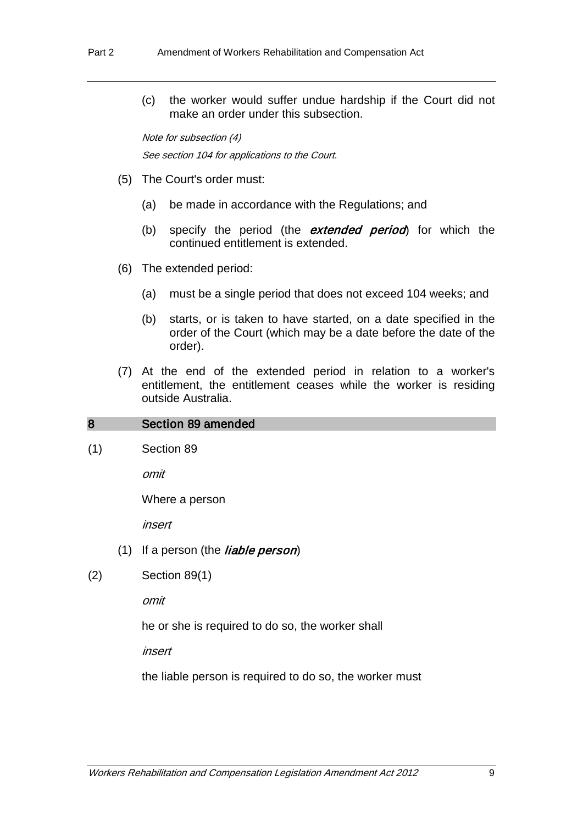(c) the worker would suffer undue hardship if the Court did not make an order under this subsection.

Note for subsection (4) See section 104 for applications to the Court.

- (5) The Court's order must:
	- (a) be made in accordance with the Regulations; and
	- (b) specify the period (the  $ext{extended}$  period) for which the continued entitlement is extended.
- (6) The extended period:
	- (a) must be a single period that does not exceed 104 weeks; and
	- (b) starts, or is taken to have started, on a date specified in the order of the Court (which may be a date before the date of the order).
- (7) At the end of the extended period in relation to a worker's entitlement, the entitlement ceases while the worker is residing outside Australia.

#### 8 Section 89 amended

(1) Section 89

omit

Where a person

insert

- (1) If a person (the *liable person*)
- (2) Section 89(1)

omit

he or she is required to do so, the worker shall

insert

the liable person is required to do so, the worker must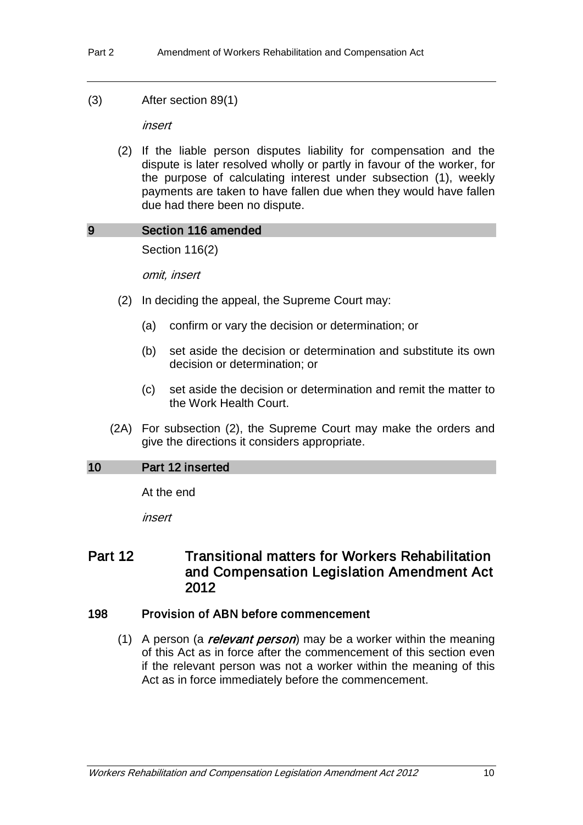(3) After section 89(1)

insert

(2) If the liable person disputes liability for compensation and the dispute is later resolved wholly or partly in favour of the worker, for the purpose of calculating interest under subsection (1), weekly payments are taken to have fallen due when they would have fallen due had there been no dispute.

#### 9 Section 116 amended

Section 116(2)

omit, insert

- (2) In deciding the appeal, the Supreme Court may:
	- (a) confirm or vary the decision or determination; or
	- (b) set aside the decision or determination and substitute its own decision or determination; or
	- (c) set aside the decision or determination and remit the matter to the Work Health Court.
- (2A) For subsection (2), the Supreme Court may make the orders and give the directions it considers appropriate.

### 10 Part 12 inserted

At the end

insert

## Part 12 Transitional matters for Workers Rehabilitation and Compensation Legislation Amendment Act 2012

## 198 Provision of ABN before commencement

(1) A person (a *relevant person*) may be a worker within the meaning of this Act as in force after the commencement of this section even if the relevant person was not a worker within the meaning of this Act as in force immediately before the commencement.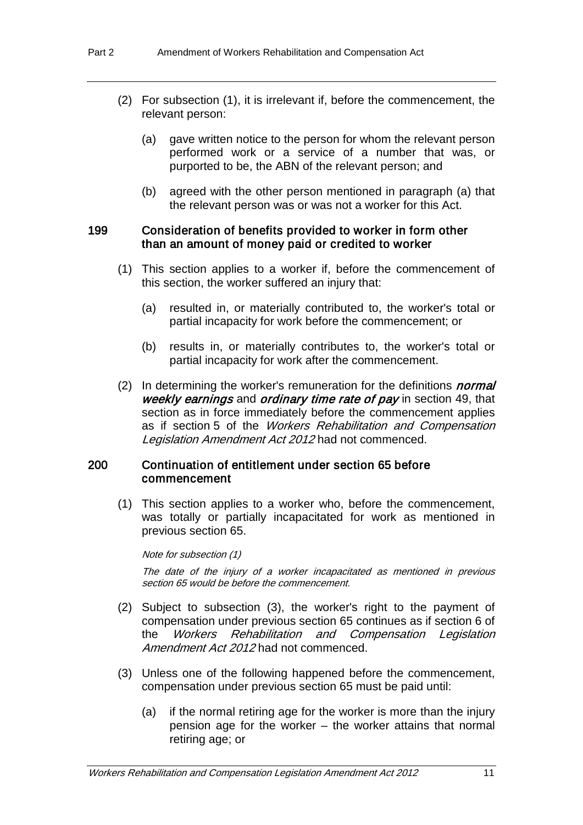- (2) For subsection (1), it is irrelevant if, before the commencement, the relevant person:
	- (a) gave written notice to the person for whom the relevant person performed work or a service of a number that was, or purported to be, the ABN of the relevant person; and
	- (b) agreed with the other person mentioned in paragraph (a) that the relevant person was or was not a worker for this Act.

#### 199 Consideration of benefits provided to worker in form other than an amount of money paid or credited to worker

- (1) This section applies to a worker if, before the commencement of this section, the worker suffered an injury that:
	- (a) resulted in, or materially contributed to, the worker's total or partial incapacity for work before the commencement; or
	- (b) results in, or materially contributes to, the worker's total or partial incapacity for work after the commencement.
- (2) In determining the worker's remuneration for the definitions *normal* weekly earnings and ordinary time rate of pay in section 49, that section as in force immediately before the commencement applies as if section 5 of the Workers Rehabilitation and Compensation Legislation Amendment Act 2012 had not commenced.

#### 200 Continuation of entitlement under section 65 before commencement

(1) This section applies to a worker who, before the commencement, was totally or partially incapacitated for work as mentioned in previous section 65.

Note for subsection (1)

The date of the injury of a worker incapacitated as mentioned in previous section 65 would be before the commencement.

- (2) Subject to subsection (3), the worker's right to the payment of compensation under previous section 65 continues as if section 6 of the Workers Rehabilitation and Compensation Legislation Amendment Act 2012 had not commenced.
- (3) Unless one of the following happened before the commencement, compensation under previous section 65 must be paid until:
	- (a) if the normal retiring age for the worker is more than the injury pension age for the worker – the worker attains that normal retiring age; or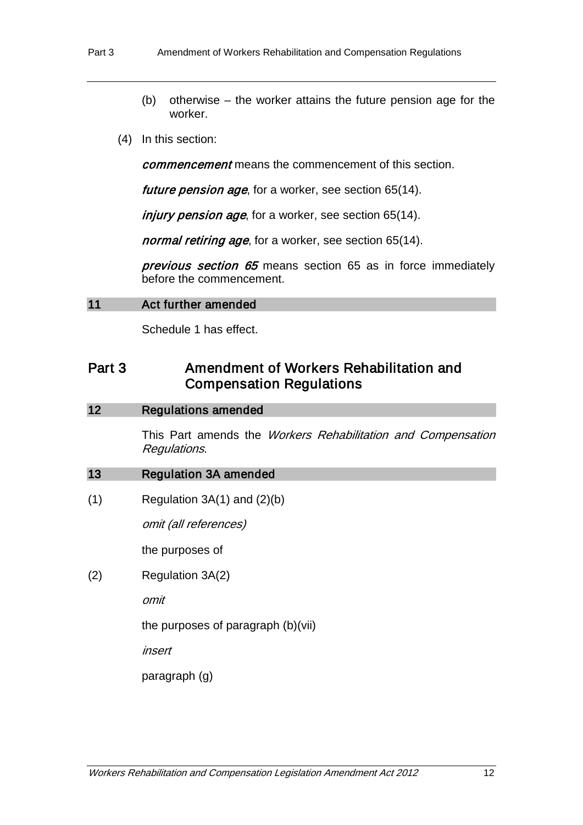- (b) otherwise the worker attains the future pension age for the worker.
- (4) In this section:

commencement means the commencement of this section.

future pension age, for a worker, see section 65(14).

injury pension age, for a worker, see section 65(14).

normal retiring age, for a worker, see section 65(14).

previous section 65 means section 65 as in force immediately before the commencement.

#### 11 Act further amended

Schedule 1 has effect.

# Part 3 Amendment of Workers Rehabilitation and Compensation Regulations

#### 12 Regulations amended

This Part amends the Workers Rehabilitation and Compensation Regulations.

#### 13 Regulation 3A amended

 $(1)$  Regulation 3A(1) and  $(2)(b)$ 

omit (all references)

the purposes of

(2) Regulation 3A(2)

omit

the purposes of paragraph (b)(vii)

insert

paragraph (g)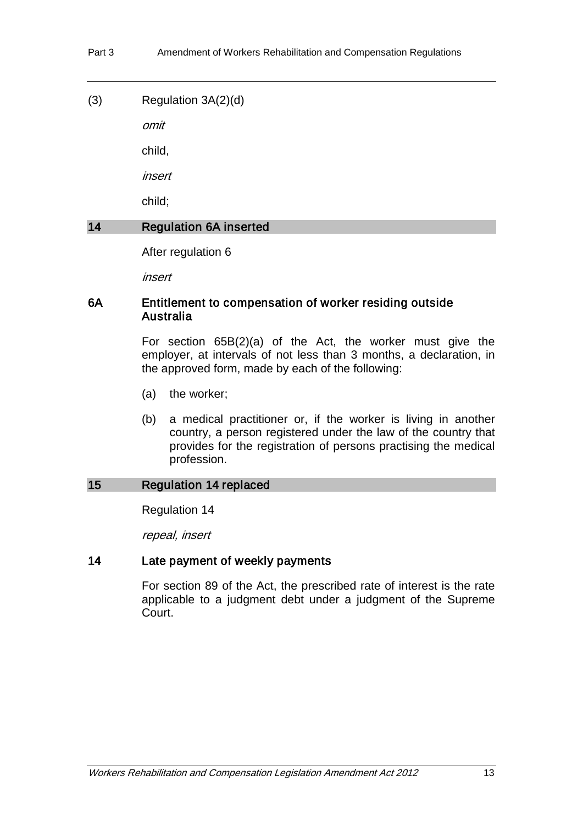(3) Regulation 3A(2)(d)

omit

child,

insert

child;

## 14 Regulation 6A inserted

After regulation 6

insert

## 6A Entitlement to compensation of worker residing outside Australia

For section 65B(2)(a) of the Act, the worker must give the employer, at intervals of not less than 3 months, a declaration, in the approved form, made by each of the following:

- (a) the worker;
- (b) a medical practitioner or, if the worker is living in another country, a person registered under the law of the country that provides for the registration of persons practising the medical profession.

## 15 Regulation 14 replaced

Regulation 14

repeal, insert

## 14 Late payment of weekly payments

For section 89 of the Act, the prescribed rate of interest is the rate applicable to a judgment debt under a judgment of the Supreme Court.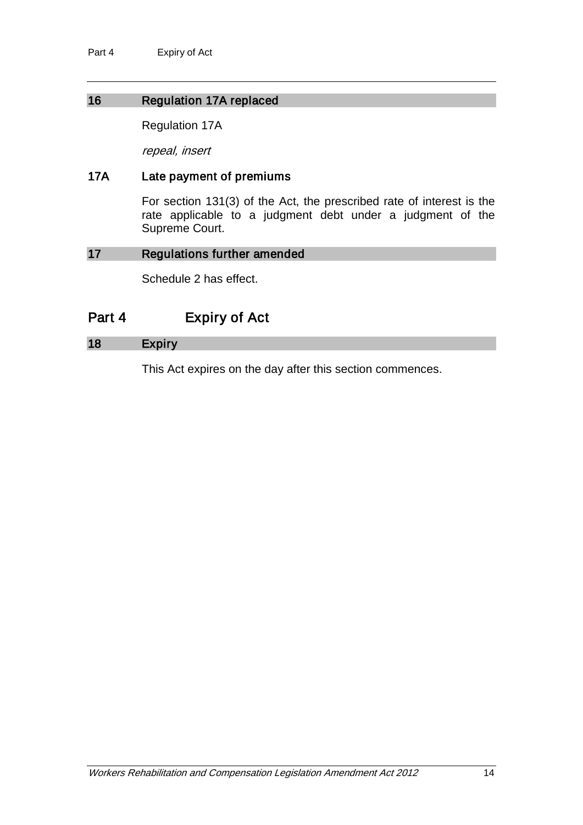## 16 Regulation 17A replaced

Regulation 17A

repeal, insert

### 17A Late payment of premiums

For section 131(3) of the Act, the prescribed rate of interest is the rate applicable to a judgment debt under a judgment of the Supreme Court.

#### 17 Regulations further amended

Schedule 2 has effect.

# Part 4 Expiry of Act

## 18 Expiry

This Act expires on the day after this section commences.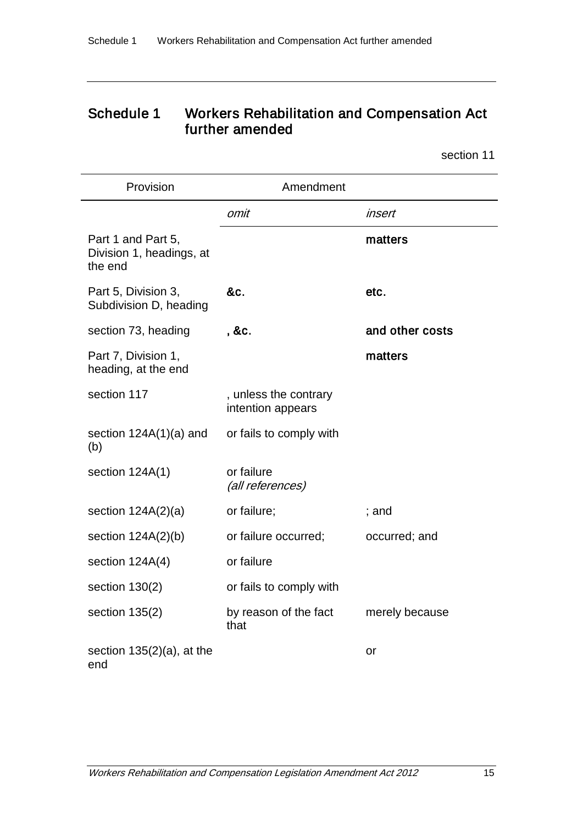# Schedule 1 Workers Rehabilitation and Compensation Act further amended

section 11

| Provision                                                 | Amendment                                  |                 |
|-----------------------------------------------------------|--------------------------------------------|-----------------|
|                                                           | omit                                       | insert          |
| Part 1 and Part 5,<br>Division 1, headings, at<br>the end |                                            | matters         |
| Part 5, Division 3,<br>Subdivision D, heading             | &c.                                        | etc.            |
| section 73, heading                                       | , &c.                                      | and other costs |
| Part 7, Division 1,<br>heading, at the end                |                                            | matters         |
| section 117                                               | , unless the contrary<br>intention appears |                 |
| section $124A(1)(a)$ and<br>(b)                           | or fails to comply with                    |                 |
| section 124A(1)                                           | or failure<br>(all references)             |                 |
| section $124A(2)(a)$                                      | or failure;                                | ; and           |
| section $124A(2)(b)$                                      | or failure occurred;                       | occurred; and   |
| section 124A(4)                                           | or failure                                 |                 |
| section $130(2)$                                          | or fails to comply with                    |                 |
| section 135(2)                                            | by reason of the fact<br>that              | merely because  |
| section $135(2)(a)$ , at the<br>end                       |                                            | or              |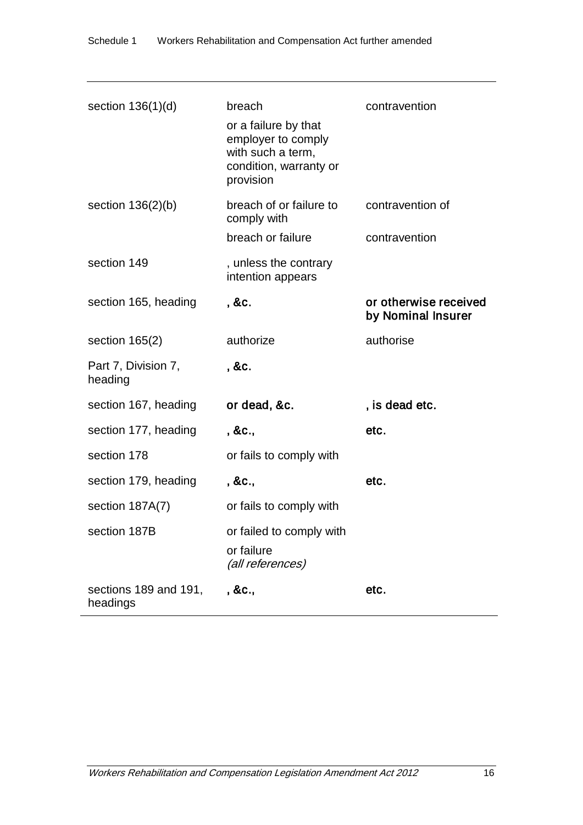| section $136(1)(d)$               | breach<br>or a failure by that<br>employer to comply<br>with such a term,<br>condition, warranty or<br>provision | contravention                               |
|-----------------------------------|------------------------------------------------------------------------------------------------------------------|---------------------------------------------|
| section $136(2)(b)$               | breach of or failure to<br>comply with                                                                           | contravention of                            |
|                                   | breach or failure                                                                                                | contravention                               |
| section 149                       | , unless the contrary<br>intention appears                                                                       |                                             |
| section 165, heading              | , &c.                                                                                                            | or otherwise received<br>by Nominal Insurer |
| section $165(2)$                  | authorize                                                                                                        | authorise                                   |
| Part 7, Division 7,<br>heading    | , &c.                                                                                                            |                                             |
| section 167, heading              | or dead, &c.                                                                                                     | , is dead etc.                              |
| section 177, heading              | , &c.,                                                                                                           | etc.                                        |
| section 178                       | or fails to comply with                                                                                          |                                             |
| section 179, heading              | , &c.,                                                                                                           | etc.                                        |
| section 187A(7)                   | or fails to comply with                                                                                          |                                             |
| section 187B                      | or failed to comply with<br>or failure<br>(all references)                                                       |                                             |
| sections 189 and 191,<br>headings | , &c.,                                                                                                           | etc.                                        |